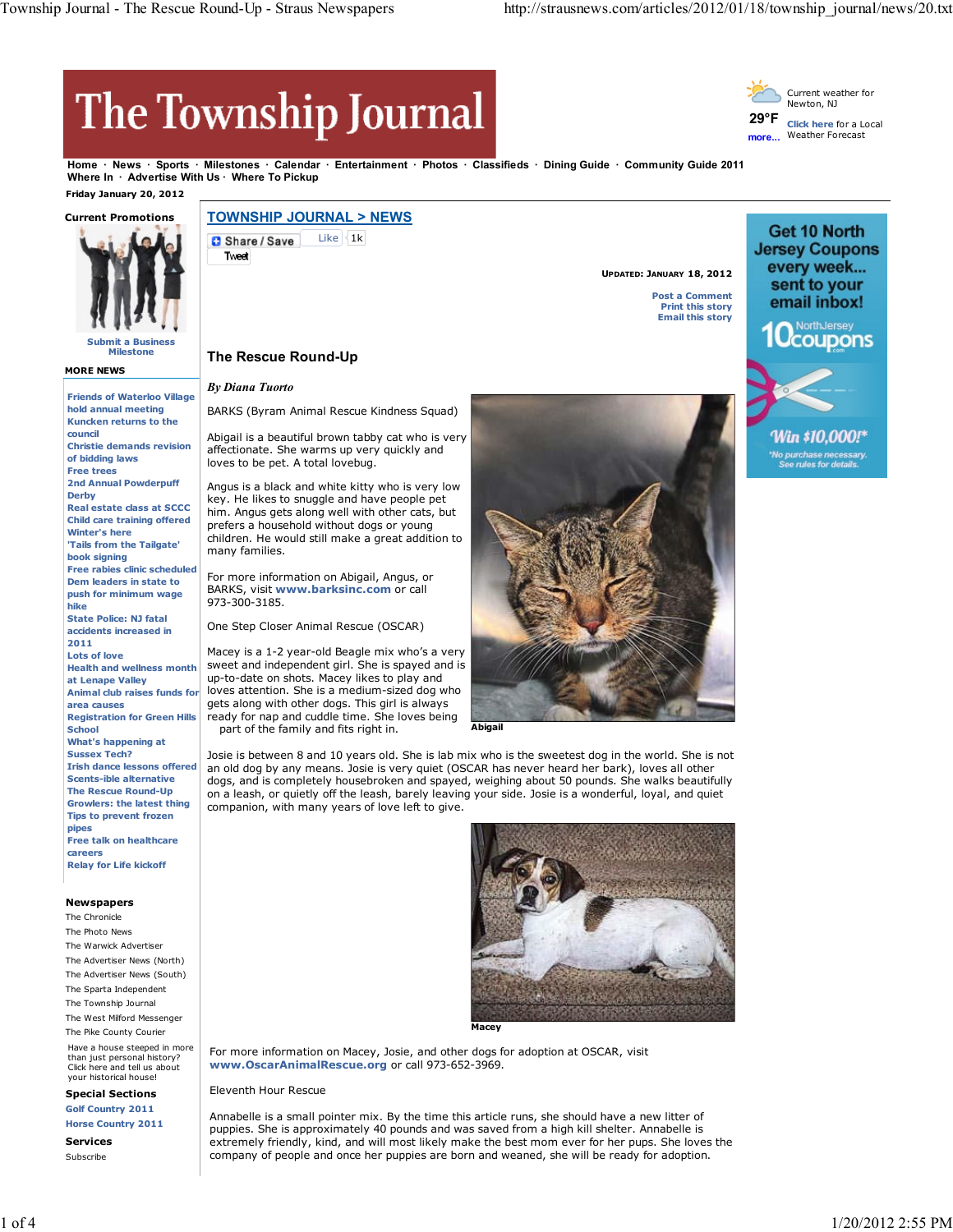**UPDATED: JANUARY 18, 2012**

**Post a Comment Print this story Email this story**

# The Township Journal

**29°F more...** Current weather for Newton, NJ **Click here** for a Local Weather Forecast

Get 10 North

**Jersey Coupons** every week... sent to your email inbox! NorthJersey **Ocoupons** 

Win \$10,000!\*

**Home News Sports Milestones Calendar Entertainment Photos Classifieds Dining Guide Community Guide 2011** Where In · Advertise With Us · Where To Pickup  **Friday January 20, 2012**

#### **Current Promotions**



**Submit a Business Milestone**

**MORE NEWS**

**Friends of Waterloo Village hold annual meeting Kuncken returns to the council Christie demands revision of bidding laws Free trees 2nd Annual Powderpuff Derby Real estate class at SCCC Child care training offered Winter's here 'Tails from the Tailgate' book signing Free rabies clinic scheduled Dem leaders in state to push for minimum wage hike State Police: NJ fatal accidents increased in 2011 Lots of love Health and wellness month at Lenape Valley Animal club raises funds for area causes Registration for Green Hills School What's happening at Sussex Tech? Irish dance lessons offered Scents-ible alternative The Rescue Round-Up Growlers: the latest thing Tips to prevent frozen pipes Free talk on healthcare careers Relay for Life kickoff**

### **Newspapers**

The Chronicle The Photo News The Warwick Advertiser The Advertiser News (North) The Advertiser News (South) The Sparta Independent The Township Journal The West Milford Messenger The Pike County Courier Have a house steeped in more than just personal history? Click here and tell us about your historical house!

## **Special Sections**

**Golf Country 2011 Horse Country 2011**

**Services** Subscribe

## **TOWNSHIP JOURNAL > NEWS** Like  $|31k$ Share / Save **Tweet**

## **The Rescue Round-Up**

#### *By Diana Tuorto*

BARKS (Byram Animal Rescue Kindness Squad)

Abigail is a beautiful brown tabby cat who is very affectionate. She warms up very quickly and loves to be pet. A total lovebug.

Angus is a black and white kitty who is very low key. He likes to snuggle and have people pet him. Angus gets along well with other cats, but prefers a household without dogs or young children. He would still make a great addition to many families.

For more information on Abigail, Angus, or BARKS, visit **www.barksinc.com** or call 973-300-3185.

One Step Closer Animal Rescue (OSCAR)

Macey is a 1-2 year-old Beagle mix who's a very sweet and independent girl. She is spayed and is up-to-date on shots. Macey likes to play and loves attention. She is a medium-sized dog who gets along with other dogs. This girl is always ready for nap and cuddle time. She loves being part of the family and fits right in.



**Abigail**

Josie is between 8 and 10 years old. She is lab mix who is the sweetest dog in the world. She is not an old dog by any means. Josie is very quiet (OSCAR has never heard her bark), loves all other dogs, and is completely housebroken and spayed, weighing about 50 pounds. She walks beautifully on a leash, or quietly off the leash, barely leaving your side. Josie is a wonderful, loyal, and quiet companion, with many years of love left to give.



For more information on Macey, Josie, and other dogs for adoption at OSCAR, visit **www.OscarAnimalRescue.org** or call 973-652-3969.

Eleventh Hour Rescue

Annabelle is a small pointer mix. By the time this article runs, she should have a new litter of puppies. She is approximately 40 pounds and was saved from a high kill shelter. Annabelle is extremely friendly, kind, and will most likely make the best mom ever for her pups. She loves the company of people and once her puppies are born and weaned, she will be ready for adoption.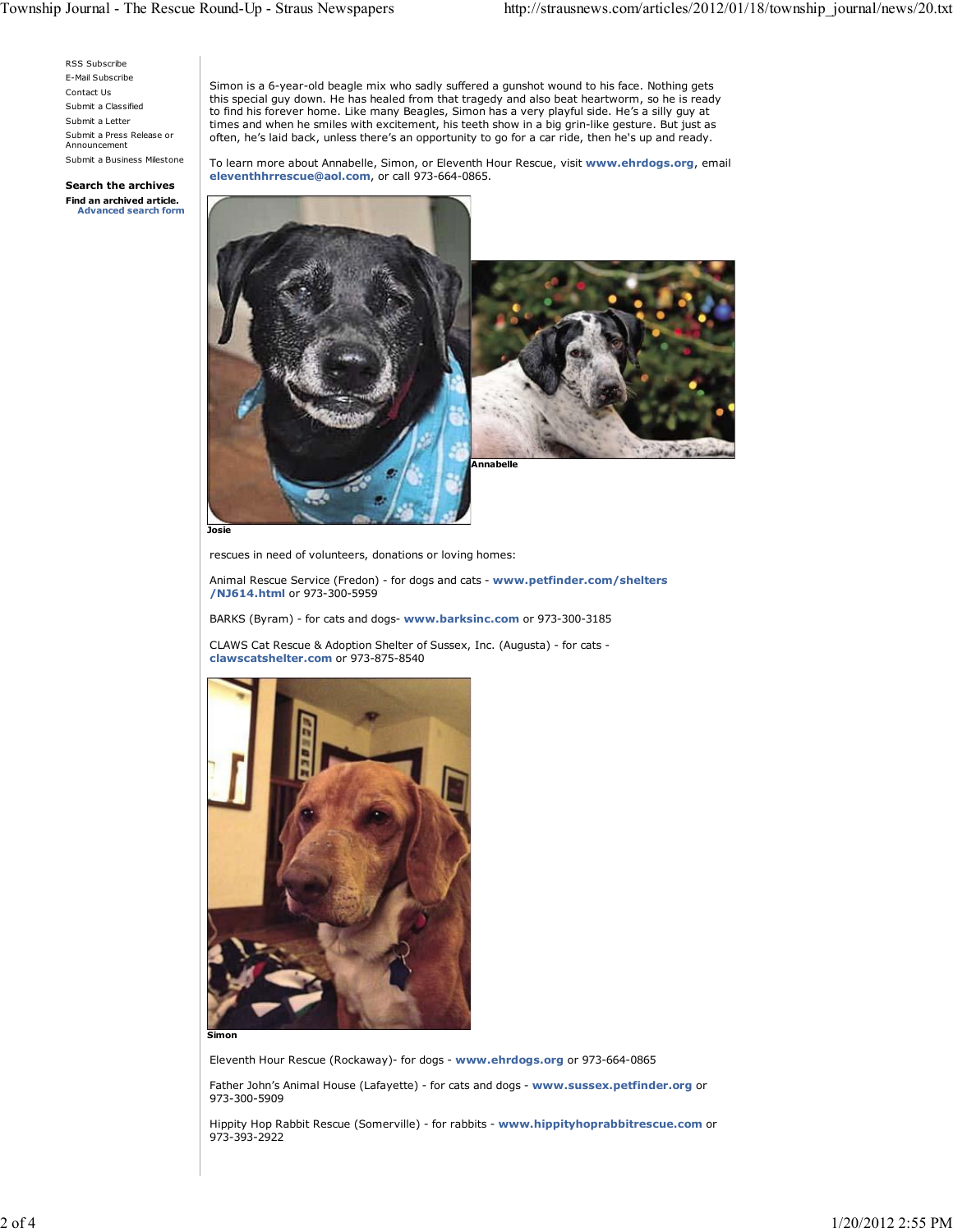RSS Subscribe E-Mail Subscribe Contact Us Submit a Classified Submit a Letter Submit a Press Release or Announcement Submit a Business Milestone

**Search the archives Find an archived article. Advanced search form** Simon is a 6-year-old beagle mix who sadly suffered a gunshot wound to his face. Nothing gets this special guy down. He has healed from that tragedy and also beat heartworm, so he is ready to find his forever home. Like many Beagles, Simon has a very playful side. He's a silly guy at times and when he smiles with excitement, his teeth show in a big grin-like gesture. But just as often, he's laid back, unless there's an opportunity to go for a car ride, then he's up and ready.

To learn more about Annabelle, Simon, or Eleventh Hour Rescue, visit **www.ehrdogs.org**, email **eleventhhrrescue@aol.com**, or call 973-664-0865.



**Josie**

rescues in need of volunteers, donations or loving homes:

Animal Rescue Service (Fredon) - for dogs and cats - **www.petfinder.com/shelters /NJ614.html** or 973-300-5959

BARKS (Byram) - for cats and dogs- **www.barksinc.com** or 973-300-3185

CLAWS Cat Rescue & Adoption Shelter of Sussex, Inc. (Augusta) - for cats **clawscatshelter.com** or 973-875-8540



**Simon**

Eleventh Hour Rescue (Rockaway)- for dogs - **www.ehrdogs.org** or 973-664-0865

Father John's Animal House (Lafayette) - for cats and dogs - **www.sussex.petfinder.org** or 973-300-5909

Hippity Hop Rabbit Rescue (Somerville) - for rabbits - **www.hippityhoprabbitrescue.com** or 973-393-2922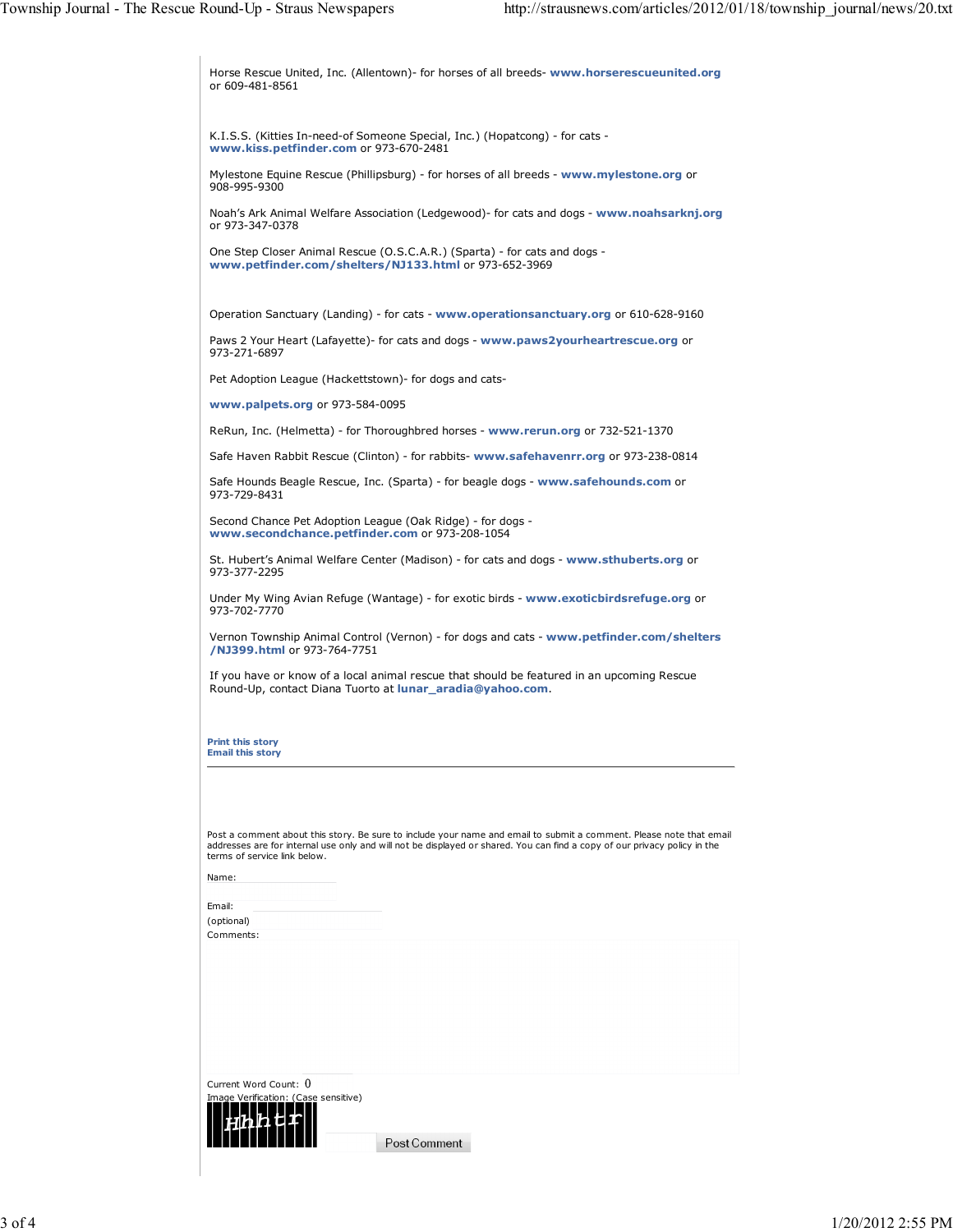| Horse Rescue United, Inc. (Allentown) for horses of all breeds-www.horserescueunited.org<br>or 609-481-8561                                                                                                                                                                      |
|----------------------------------------------------------------------------------------------------------------------------------------------------------------------------------------------------------------------------------------------------------------------------------|
| K.I.S.S. (Kitties In-need-of Someone Special, Inc.) (Hopatcong) - for cats -<br>www.kiss.petfinder.com or 973-670-2481                                                                                                                                                           |
| Mylestone Equine Rescue (Phillipsburg) - for horses of all breeds - www.mylestone.org or<br>908-995-9300                                                                                                                                                                         |
| Noah's Ark Animal Welfare Association (Ledgewood) for cats and dogs - www.noahsarknj.org<br>or 973-347-0378                                                                                                                                                                      |
| One Step Closer Animal Rescue (O.S.C.A.R.) (Sparta) - for cats and dogs -<br>www.petfinder.com/shelters/NJ133.html or 973-652-3969                                                                                                                                               |
| Operation Sanctuary (Landing) - for cats - www.operationsanctuary.org or 610-628-9160                                                                                                                                                                                            |
| Paws 2 Your Heart (Lafayette)- for cats and dogs - www.paws2yourheartrescue.org or<br>973-271-6897                                                                                                                                                                               |
| Pet Adoption League (Hackettstown) - for dogs and cats-                                                                                                                                                                                                                          |
| www.palpets.org or 973-584-0095                                                                                                                                                                                                                                                  |
| ReRun, Inc. (Helmetta) - for Thoroughbred horses - www.rerun.org or 732-521-1370                                                                                                                                                                                                 |
| Safe Haven Rabbit Rescue (Clinton) - for rabbits- www.safehavenrr.org or 973-238-0814                                                                                                                                                                                            |
| Safe Hounds Beagle Rescue, Inc. (Sparta) - for beagle dogs - www.safehounds.com or<br>973-729-8431                                                                                                                                                                               |
| Second Chance Pet Adoption League (Oak Ridge) - for dogs -<br>www.secondchance.petfinder.com or 973-208-1054                                                                                                                                                                     |
| St. Hubert's Animal Welfare Center (Madison) - for cats and dogs - www.sthuberts.org or<br>973-377-2295                                                                                                                                                                          |
| Under My Wing Avian Refuge (Wantage) - for exotic birds - www.exoticbirdsrefuge.org or<br>973-702-7770                                                                                                                                                                           |
| Vernon Township Animal Control (Vernon) - for dogs and cats - www.petfinder.com/shelters<br>/NJ399.html or 973-764-7751                                                                                                                                                          |
| If you have or know of a local animal rescue that should be featured in an upcoming Rescue<br>Round-Up, contact Diana Tuorto at lunar_aradia@yahoo.com.                                                                                                                          |
| <b>Print this story</b><br><b>Email this story</b>                                                                                                                                                                                                                               |
| Post a comment about this story. Be sure to include your name and email to submit a comment. Please note that email<br>addresses are for internal use only and will not be displayed or shared. You can find a copy of our privacy policy in the<br>terms of service link below. |
| Name:                                                                                                                                                                                                                                                                            |
| Email:                                                                                                                                                                                                                                                                           |
| (optional)<br>Comments:                                                                                                                                                                                                                                                          |
|                                                                                                                                                                                                                                                                                  |
| Current Word Count: 0                                                                                                                                                                                                                                                            |
| Image Verification: (Case sensitive)                                                                                                                                                                                                                                             |
|                                                                                                                                                                                                                                                                                  |
| Post Comment                                                                                                                                                                                                                                                                     |